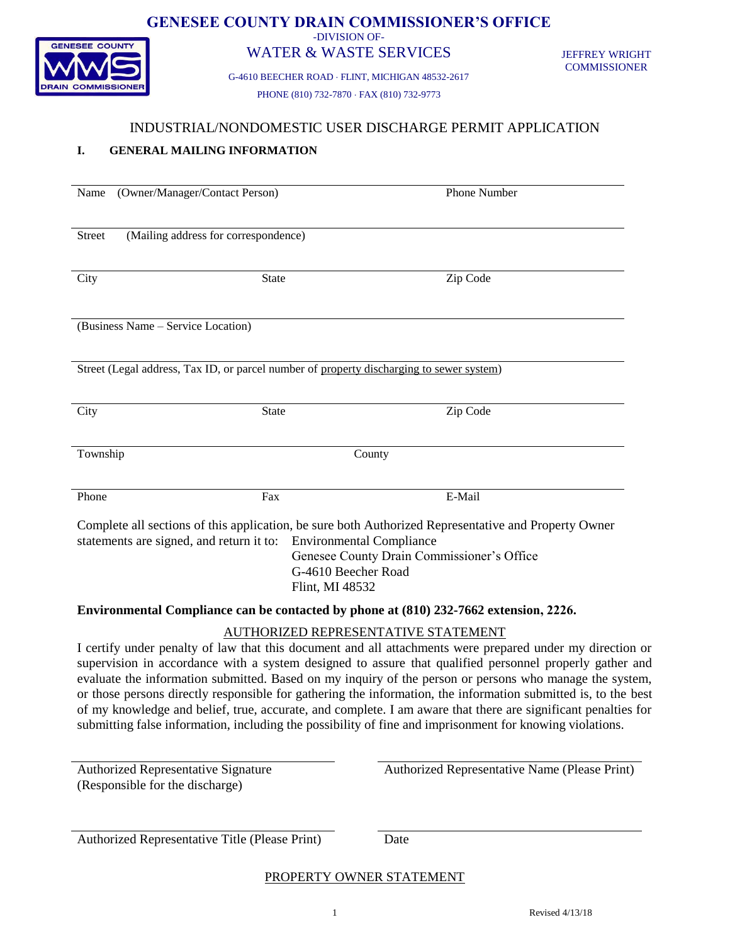

#### **GENESEE COUNTY DRAIN COMMISSIONER'S OFFICE** -DIVISION OF-

## WATER & WASTE SERVICES

G-4610 BEECHER ROAD FLINT, MICHIGAN 48532-2617 PHONE (810) 732-7870 FAX (810) 732-9773

JEFFREY WRIGHT **COMMISSIONER** 

### INDUSTRIAL/NONDOMESTIC USER DISCHARGE PERMIT APPLICATION

### **I. GENERAL MAILING INFORMATION**

| (Owner/Manager/Contact Person)<br>Name                | Phone Number                                                                                                   |
|-------------------------------------------------------|----------------------------------------------------------------------------------------------------------------|
|                                                       |                                                                                                                |
| (Mailing address for correspondence)<br><b>Street</b> |                                                                                                                |
|                                                       |                                                                                                                |
| <b>State</b>                                          | Zip Code                                                                                                       |
| City                                                  |                                                                                                                |
|                                                       |                                                                                                                |
| (Business Name – Service Location)                    |                                                                                                                |
|                                                       |                                                                                                                |
|                                                       |                                                                                                                |
|                                                       | Street (Legal address, Tax ID, or parcel number of property discharging to sewer system)                       |
|                                                       |                                                                                                                |
| City<br>State                                         | Zip Code                                                                                                       |
|                                                       |                                                                                                                |
| Township                                              | County                                                                                                         |
|                                                       |                                                                                                                |
|                                                       |                                                                                                                |
| Phone<br>Fax                                          | E-Mail                                                                                                         |
|                                                       | Complete all sections of this application, be sure both Authorized Representative and Property Owner           |
| statements are signed, and return it to:              | <b>Environmental Compliance</b>                                                                                |
|                                                       | Genesee County Drain Commissioner's Office                                                                     |
|                                                       | G-4610 Beecher Road                                                                                            |
|                                                       | Flint, MI 48532                                                                                                |
|                                                       | Environmental Compliance can be contacted by phone at (810) 232-7662 extension, 2226.                          |
|                                                       | AUTHORIZED REPRESENTATIVE STATEMENT                                                                            |
|                                                       | I certify under penalty of law that this document and all attachments were prepared under my direction or      |
|                                                       | supervision in accordance with a system designed to assure that qualified personnel properly gather and        |
|                                                       | evaluate the information submitted. Based on my inquiry of the person or persons who manage the system,        |
|                                                       | or those persons directly responsible for gathering the information, the information submitted is, to the best |
|                                                       | of my knowledge and belief, true, accurate, and complete. I am aware that there are significant penalties for  |
|                                                       | submitting false information, including the possibility of fine and imprisonment for knowing violations.       |
|                                                       |                                                                                                                |
| <b>Authorized Representative Signature</b>            | Authorized Representative Name (Please Print)                                                                  |
| (Responsible for the discharge)                       |                                                                                                                |
|                                                       |                                                                                                                |

Authorized Representative Title (Please Print) Date

PROPERTY OWNER STATEMENT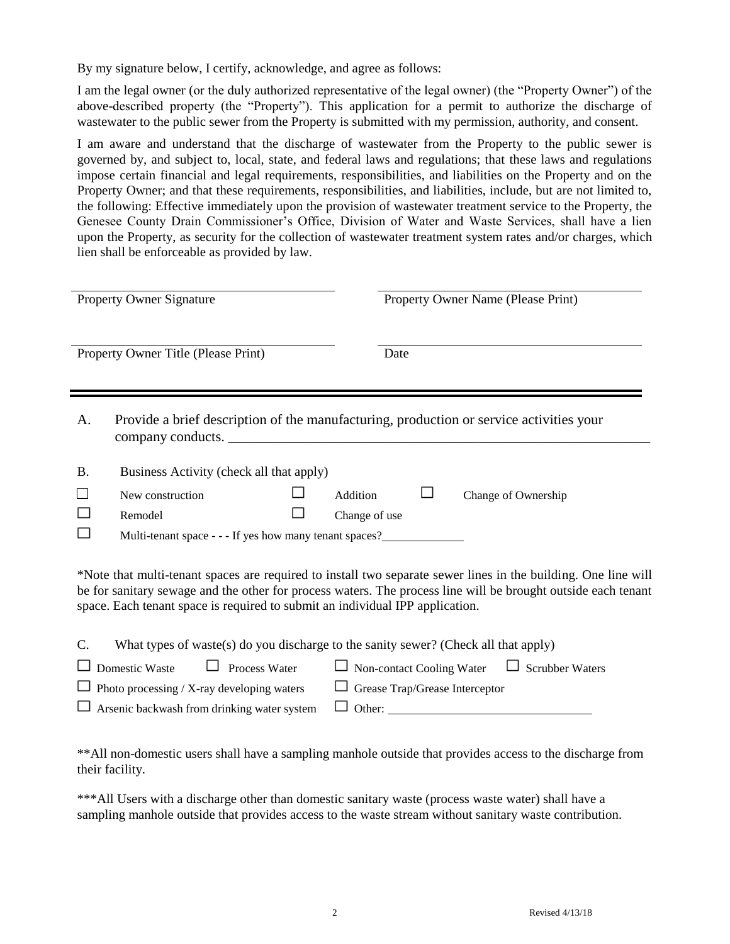By my signature below, I certify, acknowledge, and agree as follows:

I am the legal owner (or the duly authorized representative of the legal owner) (the "Property Owner") of the above-described property (the "Property"). This application for a permit to authorize the discharge of wastewater to the public sewer from the Property is submitted with my permission, authority, and consent.

I am aware and understand that the discharge of wastewater from the Property to the public sewer is governed by, and subject to, local, state, and federal laws and regulations; that these laws and regulations impose certain financial and legal requirements, responsibilities, and liabilities on the Property and on the Property Owner; and that these requirements, responsibilities, and liabilities, include, but are not limited to, the following: Effective immediately upon the provision of wastewater treatment service to the Property, the Genesee County Drain Commissioner's Office, Division of Water and Waste Services, shall have a lien upon the Property, as security for the collection of wastewater treatment system rates and/or charges, which lien shall be enforceable as provided by law.

| <b>Property Owner Signature</b> |                                                                                                                                                                                                                                                                                                                  |               | Property Owner Name (Please Print) |                                                         |
|---------------------------------|------------------------------------------------------------------------------------------------------------------------------------------------------------------------------------------------------------------------------------------------------------------------------------------------------------------|---------------|------------------------------------|---------------------------------------------------------|
|                                 | Property Owner Title (Please Print)                                                                                                                                                                                                                                                                              |               | Date                               |                                                         |
| A.                              | Provide a brief description of the manufacturing, production or service activities your<br>company conducts.                                                                                                                                                                                                     |               |                                    |                                                         |
| <b>B.</b>                       | Business Activity (check all that apply)                                                                                                                                                                                                                                                                         |               |                                    |                                                         |
|                                 | New construction                                                                                                                                                                                                                                                                                                 | Addition      |                                    | Change of Ownership                                     |
|                                 | Remodel                                                                                                                                                                                                                                                                                                          | Change of use |                                    |                                                         |
|                                 | Multi-tenant space - - - If yes how many tenant spaces?                                                                                                                                                                                                                                                          |               |                                    |                                                         |
|                                 | *Note that multi-tenant spaces are required to install two separate sewer lines in the building. One line will<br>be for sanitary sewage and the other for process waters. The process line will be brought outside each tenant<br>space. Each tenant space is required to submit an individual IPP application. |               |                                    |                                                         |
| C.                              | What types of waste(s) do you discharge to the sanity sewer? (Check all that apply)                                                                                                                                                                                                                              |               |                                    |                                                         |
|                                 | Process Water<br>Domestic Waste                                                                                                                                                                                                                                                                                  |               |                                    | $\Box$ Non-contact Cooling Water $\Box$ Scrubber Waters |
|                                 | Photo processing / X-ray developing waters                                                                                                                                                                                                                                                                       |               | Grease Trap/Grease Interceptor     |                                                         |
|                                 | Arsenic backwash from drinking water system                                                                                                                                                                                                                                                                      |               |                                    | Other:                                                  |
|                                 |                                                                                                                                                                                                                                                                                                                  |               |                                    |                                                         |

\*\*All non-domestic users shall have a sampling manhole outside that provides access to the discharge from their facility.

\*\*\*All Users with a discharge other than domestic sanitary waste (process waste water) shall have a sampling manhole outside that provides access to the waste stream without sanitary waste contribution.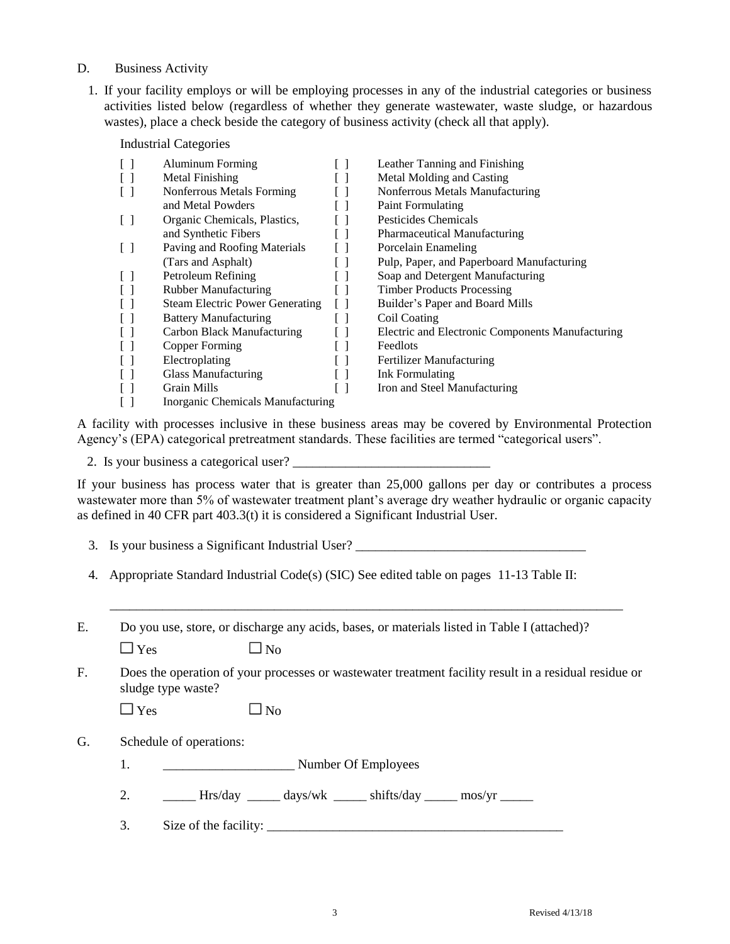- D. Business Activity
	- 1. If your facility employs or will be employing processes in any of the industrial categories or business activities listed below (regardless of whether they generate wastewater, waste sludge, or hazardous wastes), place a check beside the category of business activity (check all that apply).

Industrial Categories

| ſΙ     | Aluminum Forming                       | Leather Tanning and Finishing                    |
|--------|----------------------------------------|--------------------------------------------------|
|        | Metal Finishing                        | Metal Molding and Casting                        |
|        | Nonferrous Metals Forming              | Nonferrous Metals Manufacturing                  |
|        | and Metal Powders                      | <b>Paint Formulating</b>                         |
| $\Box$ | Organic Chemicals, Plastics,           | Pesticides Chemicals                             |
|        | and Synthetic Fibers                   | <b>Pharmaceutical Manufacturing</b>              |
| $\Box$ | Paving and Roofing Materials           | Porcelain Enameling                              |
|        | (Tars and Asphalt)                     | Pulp, Paper, and Paperboard Manufacturing        |
|        | Petroleum Refining                     | Soap and Detergent Manufacturing                 |
|        | <b>Rubber Manufacturing</b>            | <b>Timber Products Processing</b>                |
|        | <b>Steam Electric Power Generating</b> | Builder's Paper and Board Mills                  |
|        | <b>Battery Manufacturing</b>           | Coil Coating                                     |
|        | Carbon Black Manufacturing             | Electric and Electronic Components Manufacturing |
|        | Copper Forming                         | Feedlots                                         |
|        | Electroplating                         | <b>Fertilizer Manufacturing</b>                  |
|        | Glass Manufacturing                    | Ink Formulating                                  |
|        | <b>Grain Mills</b>                     | Iron and Steel Manufacturing                     |
|        | Inorganic Chemicals Manufacturing      |                                                  |

A facility with processes inclusive in these business areas may be covered by Environmental Protection Agency's (EPA) categorical pretreatment standards. These facilities are termed "categorical users".

2. Is your business a categorical user?

If your business has process water that is greater than 25,000 gallons per day or contributes a process wastewater more than 5% of wastewater treatment plant's average dry weather hydraulic or organic capacity as defined in 40 CFR part 403.3(t) it is considered a Significant Industrial User.

- 3. Is your business a Significant Industrial User?
- 4. Appropriate Standard Industrial Code(s) (SIC) See edited table on pages 11-13 Table II:

| Do you use, store, or discharge any acids, bases, or materials listed in Table I (attached)? |
|----------------------------------------------------------------------------------------------|
|----------------------------------------------------------------------------------------------|

 $\Box$  Yes  $\Box$  No

F. Does the operation of your processes or wastewater treatment facility result in a residual residue or sludge type waste?

\_\_\_\_\_\_\_\_\_\_\_\_\_\_\_\_\_\_\_\_\_\_\_\_\_\_\_\_\_\_\_\_\_\_\_\_\_\_\_\_\_\_\_\_\_\_\_\_\_\_\_\_\_\_\_\_\_\_\_\_\_\_\_\_\_\_\_\_\_\_\_\_\_\_\_\_\_\_

|  | $\square$ Yes |  | $\Box$ No |
|--|---------------|--|-----------|
|--|---------------|--|-----------|

G. Schedule of operations:

- 1. Number Of Employees
- 2. \_\_\_\_\_\_ Hrs/day \_\_\_\_\_ days/wk \_\_\_\_\_ shifts/day \_\_\_\_\_ mos/yr \_\_\_\_\_
- 3. Size of the facility: \_\_\_\_\_\_\_\_\_\_\_\_\_\_\_\_\_\_\_\_\_\_\_\_\_\_\_\_\_\_\_\_\_\_\_\_\_\_\_\_\_\_\_\_\_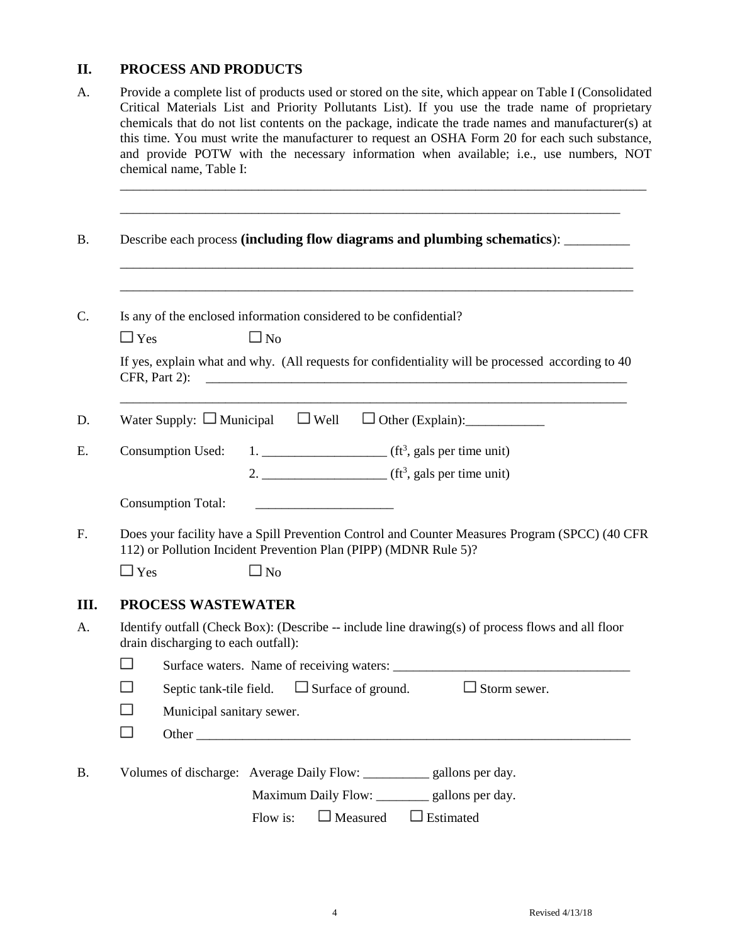# **II. PROCESS AND PRODUCTS**

| A.        | Provide a complete list of products used or stored on the site, which appear on Table I (Consolidated<br>Critical Materials List and Priority Pollutants List). If you use the trade name of proprietary<br>chemicals that do not list contents on the package, indicate the trade names and manufacturer(s) at<br>this time. You must write the manufacturer to request an OSHA Form 20 for each such substance,<br>and provide POTW with the necessary information when available; i.e., use numbers, NOT<br>chemical name, Table I: |  |  |  |
|-----------|----------------------------------------------------------------------------------------------------------------------------------------------------------------------------------------------------------------------------------------------------------------------------------------------------------------------------------------------------------------------------------------------------------------------------------------------------------------------------------------------------------------------------------------|--|--|--|
| <b>B.</b> | Describe each process (including flow diagrams and plumbing schematics): ________                                                                                                                                                                                                                                                                                                                                                                                                                                                      |  |  |  |
| C.        | Is any of the enclosed information considered to be confidential?<br>$\square$ No<br>$\Box$ Yes                                                                                                                                                                                                                                                                                                                                                                                                                                        |  |  |  |
|           | If yes, explain what and why. (All requests for confidentiality will be processed according to 40<br>CFR, Part 2):<br><u> 1980 - Jan James James Barnett, fransk politik (d. 1980)</u>                                                                                                                                                                                                                                                                                                                                                 |  |  |  |
| D.        | Water Supply: $\Box$ Municipal $\Box$ Well                                                                                                                                                                                                                                                                                                                                                                                                                                                                                             |  |  |  |
| Ε.        | 1. $f(t^3)$ , gals per time unit)<br><b>Consumption Used:</b>                                                                                                                                                                                                                                                                                                                                                                                                                                                                          |  |  |  |
|           | 2. $f(t^3)$ gals per time unit)                                                                                                                                                                                                                                                                                                                                                                                                                                                                                                        |  |  |  |
|           | <b>Consumption Total:</b>                                                                                                                                                                                                                                                                                                                                                                                                                                                                                                              |  |  |  |
| F.        | Does your facility have a Spill Prevention Control and Counter Measures Program (SPCC) (40 CFR<br>112) or Pollution Incident Prevention Plan (PIPP) (MDNR Rule 5)?                                                                                                                                                                                                                                                                                                                                                                     |  |  |  |
|           | $\Box$ Yes<br>$\square$ No                                                                                                                                                                                                                                                                                                                                                                                                                                                                                                             |  |  |  |
| Ш.        | <b>PROCESS WASTEWATER</b>                                                                                                                                                                                                                                                                                                                                                                                                                                                                                                              |  |  |  |
| A.        | Identify outfall (Check Box): (Describe -- include line drawing(s) of process flows and all floor<br>drain discharging to each outfall):                                                                                                                                                                                                                                                                                                                                                                                               |  |  |  |
|           | П                                                                                                                                                                                                                                                                                                                                                                                                                                                                                                                                      |  |  |  |
|           | Septic tank-tile field. $\Box$ Surface of ground. $\Box$ Storm sewer.                                                                                                                                                                                                                                                                                                                                                                                                                                                                  |  |  |  |
|           | Municipal sanitary sewer.                                                                                                                                                                                                                                                                                                                                                                                                                                                                                                              |  |  |  |
|           | $\Box$                                                                                                                                                                                                                                                                                                                                                                                                                                                                                                                                 |  |  |  |
| <b>B.</b> | Volumes of discharge: Average Daily Flow: ___________ gallons per day.                                                                                                                                                                                                                                                                                                                                                                                                                                                                 |  |  |  |
|           | Maximum Daily Flow: _________ gallons per day.                                                                                                                                                                                                                                                                                                                                                                                                                                                                                         |  |  |  |
|           | $\Box$ Measured<br>$\Box$ Estimated<br>Flow is:                                                                                                                                                                                                                                                                                                                                                                                                                                                                                        |  |  |  |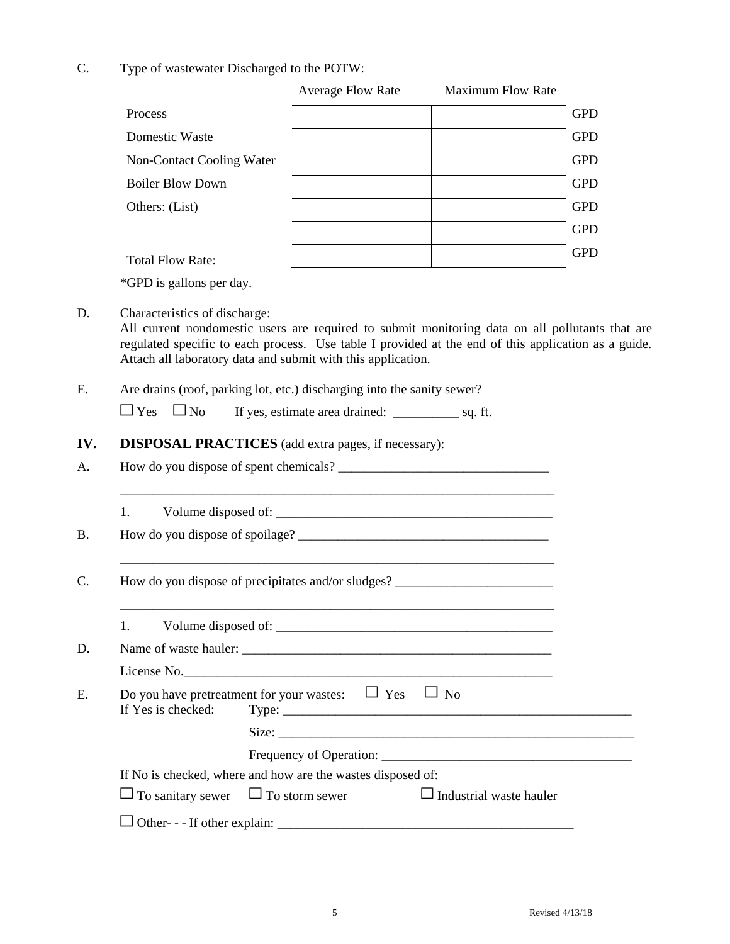C. Type of wastewater Discharged to the POTW:

|                            | <b>Average Flow Rate</b>                                                                                                                | <b>Maximum Flow Rate</b>                                                                                             |            |
|----------------------------|-----------------------------------------------------------------------------------------------------------------------------------------|----------------------------------------------------------------------------------------------------------------------|------------|
| Process                    |                                                                                                                                         |                                                                                                                      | <b>GPD</b> |
| Domestic Waste             |                                                                                                                                         |                                                                                                                      | <b>GPD</b> |
| Non-Contact Cooling Water  |                                                                                                                                         |                                                                                                                      | <b>GPD</b> |
| <b>Boiler Blow Down</b>    |                                                                                                                                         |                                                                                                                      | <b>GPD</b> |
| Others: (List)             |                                                                                                                                         |                                                                                                                      | <b>GPD</b> |
|                            |                                                                                                                                         |                                                                                                                      | <b>GPD</b> |
| <b>Total Flow Rate:</b>    |                                                                                                                                         |                                                                                                                      | <b>GPD</b> |
| *GPD is gallons per day.   |                                                                                                                                         |                                                                                                                      |            |
|                            | Attach all laboratory data and submit with this application.<br>Are drains (roof, parking lot, etc.) discharging into the sanity sewer? |                                                                                                                      |            |
| $\square$ Yes<br>$\Box$ No |                                                                                                                                         |                                                                                                                      |            |
|                            | <b>DISPOSAL PRACTICES</b> (add extra pages, if necessary):                                                                              |                                                                                                                      |            |
|                            |                                                                                                                                         |                                                                                                                      |            |
|                            | How do you dispose of precipitates and/or sludges? _____________________________                                                        | <u> 1980 - Johann Barbara, martxa alemaniar argumento de la contrada de la contrada de la contrada de la contrad</u> |            |
|                            |                                                                                                                                         |                                                                                                                      |            |
| 1.<br>1.                   |                                                                                                                                         |                                                                                                                      |            |
|                            | License No.                                                                                                                             |                                                                                                                      |            |
| If Yes is checked:         | Do you have pretreatment for your wastes: $\Box$ Yes $\Box$ No                                                                          |                                                                                                                      |            |
|                            |                                                                                                                                         |                                                                                                                      |            |
|                            |                                                                                                                                         |                                                                                                                      |            |
| $\Box$ To sanitary sewer   | If No is checked, where and how are the wastes disposed of:<br>$\Box$ To storm sewer                                                    | $\Box$ Industrial waste hauler                                                                                       |            |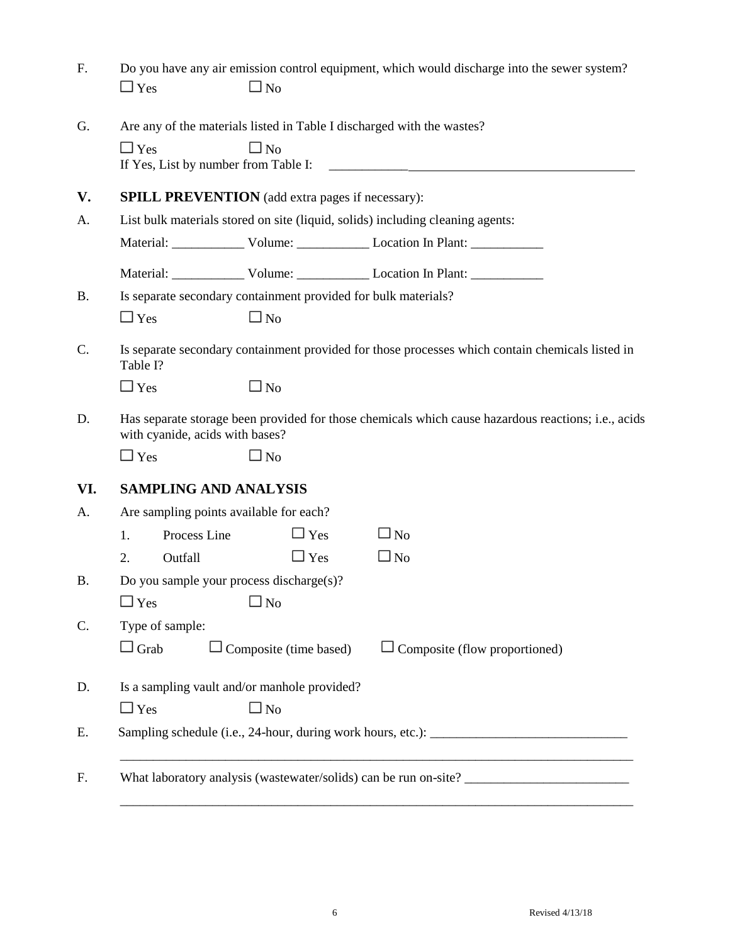| F.        | $\Box$ Yes                                         | $\square$ No                                                                           | Do you have any air emission control equipment, which would discharge into the sewer system?        |
|-----------|----------------------------------------------------|----------------------------------------------------------------------------------------|-----------------------------------------------------------------------------------------------------|
| G.        | $\Box$ Yes<br>If Yes, List by number from Table I: | Are any of the materials listed in Table I discharged with the wastes?<br>$\square$ No |                                                                                                     |
| V.        |                                                    | <b>SPILL PREVENTION</b> (add extra pages if necessary):                                |                                                                                                     |
| A.        |                                                    |                                                                                        | List bulk materials stored on site (liquid, solids) including cleaning agents:                      |
|           |                                                    |                                                                                        |                                                                                                     |
|           |                                                    |                                                                                        | Material: Volume: Volume: Location In Plant:                                                        |
| <b>B.</b> |                                                    | Is separate secondary containment provided for bulk materials?                         |                                                                                                     |
|           | $\Box$ Yes                                         | $\square$ No                                                                           |                                                                                                     |
| C.        | Table I?                                           |                                                                                        | Is separate secondary containment provided for those processes which contain chemicals listed in    |
|           | $\Box$ Yes                                         | $\square$ No                                                                           |                                                                                                     |
| D.        | with cyanide, acids with bases?                    |                                                                                        | Has separate storage been provided for those chemicals which cause hazardous reactions; i.e., acids |
|           | $\Box$ Yes                                         | $\square$ No                                                                           |                                                                                                     |
| VI.       | <b>SAMPLING AND ANALYSIS</b>                       |                                                                                        |                                                                                                     |
| А.        | Are sampling points available for each?            |                                                                                        |                                                                                                     |
|           | Process Line<br>1.                                 | $\Box$ Yes                                                                             | $\square$ No                                                                                        |
|           | Outfall<br>2.                                      | $\Box$ Yes                                                                             | $\square$ No                                                                                        |
| <b>B.</b> | Do you sample your process discharge(s)?           |                                                                                        |                                                                                                     |
|           | $\Box$ Yes                                         | $\square$ No                                                                           |                                                                                                     |
| C.        | Type of sample:                                    |                                                                                        |                                                                                                     |
|           | $\Box$ Grab                                        | $\Box$ Composite (time based)                                                          | $\Box$ Composite (flow proportioned)                                                                |
| D.        |                                                    | Is a sampling vault and/or manhole provided?                                           |                                                                                                     |
|           | $\Box$ Yes                                         | $\square$ No                                                                           |                                                                                                     |
| Ε.        |                                                    |                                                                                        |                                                                                                     |
| F.        |                                                    |                                                                                        |                                                                                                     |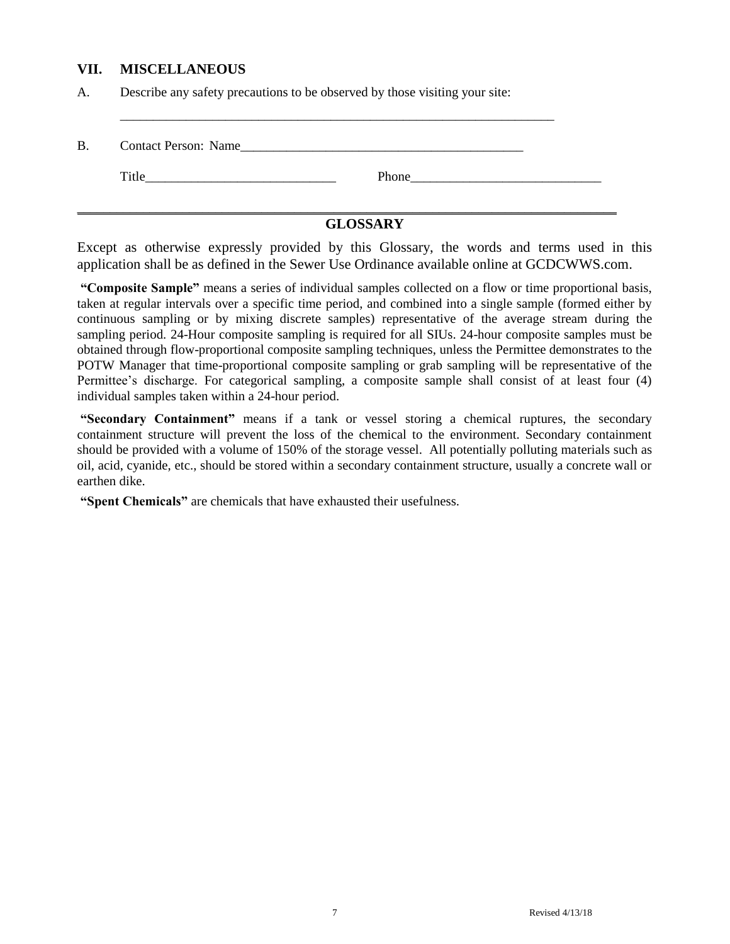### **VII. MISCELLANEOUS**

A. Describe any safety precautions to be observed by those visiting your site:

| <b>B.</b> | <b>Contact Person: Name</b> |       |  |
|-----------|-----------------------------|-------|--|
|           | Title                       | Phone |  |

\_\_\_\_\_\_\_\_\_\_\_\_\_\_\_\_\_\_\_\_\_\_\_\_\_\_\_\_\_\_\_\_\_\_\_\_\_\_\_\_\_\_\_\_\_\_\_\_\_\_\_\_\_\_\_\_\_\_\_\_\_\_\_\_\_\_\_\_\_\_\_\_\_\_\_\_\_\_\_\_\_\_

## **GLOSSARY**

Except as otherwise expressly provided by this Glossary, the words and terms used in this application shall be as defined in the Sewer Use Ordinance available online at GCDCWWS.com.

**"Composite Sample"** means a series of individual samples collected on a flow or time proportional basis, taken at regular intervals over a specific time period, and combined into a single sample (formed either by continuous sampling or by mixing discrete samples) representative of the average stream during the sampling period. 24-Hour composite sampling is required for all SIUs. 24-hour composite samples must be obtained through flow-proportional composite sampling techniques, unless the Permittee demonstrates to the POTW Manager that time-proportional composite sampling or grab sampling will be representative of the Permittee's discharge. For categorical sampling, a composite sample shall consist of at least four (4) individual samples taken within a 24-hour period.

**"Secondary Containment"** means if a tank or vessel storing a chemical ruptures, the secondary containment structure will prevent the loss of the chemical to the environment. Secondary containment should be provided with a volume of 150% of the storage vessel. All potentially polluting materials such as oil, acid, cyanide, etc., should be stored within a secondary containment structure, usually a concrete wall or earthen dike.

**"Spent Chemicals"** are chemicals that have exhausted their usefulness.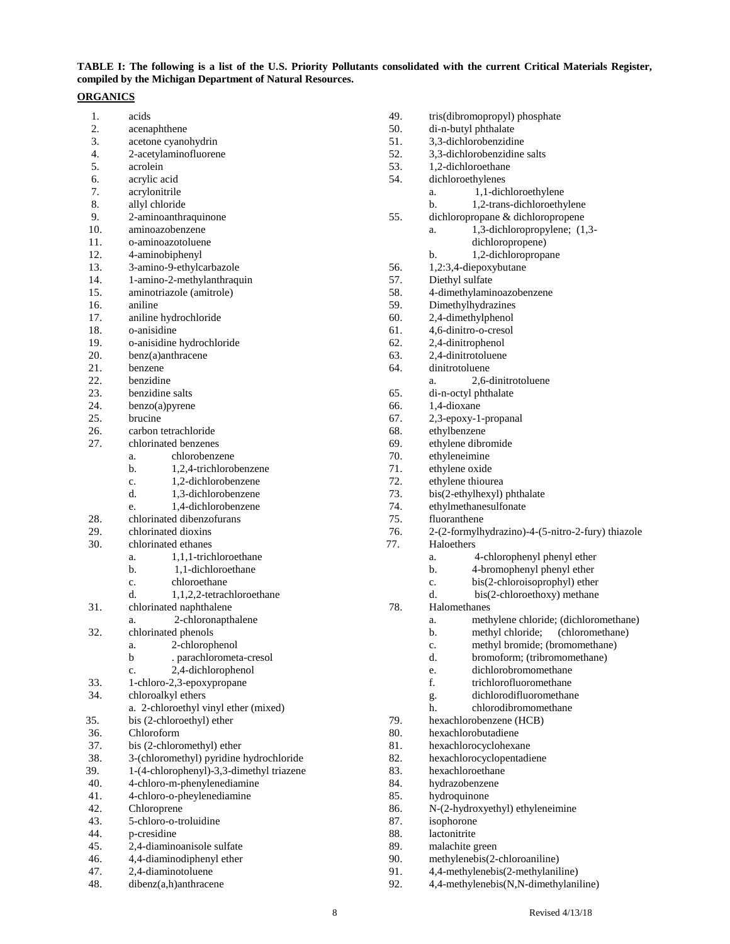### **TABLE I: The following is a list of the U.S. Priority Pollutants consolidated with the current Critical Materials Register, compiled by the Michigan Department of Natural Resources.**

#### **ORGANICS**

| 1.  | acids                                    | 49. | tris(dibromopropyl) phosphate                     |
|-----|------------------------------------------|-----|---------------------------------------------------|
| 2.  | acenaphthene                             | 50. | di-n-butyl phthalate                              |
| 3.  | acetone cyanohydrin                      | 51. | 3,3-dichlorobenzidine                             |
| 4.  | 2-acetylaminofluorene                    | 52. | 3,3-dichlorobenzidine salts                       |
| 5.  | acrolein                                 | 53. | 1,2-dichloroethane                                |
| 6.  | acrylic acid                             | 54. | dichloroethylenes                                 |
| 7.  | acrylonitrile                            |     | 1,1-dichloroethylene<br>a.                        |
| 8.  | allyl chloride                           |     | 1,2-trans-dichloroethylene<br>$\mathbf{b}$ .      |
| 9.  | 2-aminoanthraquinone                     | 55. | dichloropropane & dichloropropene                 |
| 10. | aminoazobenzene                          |     | 1,3-dichloropropylene; (1,3-<br>a.                |
| 11. | o-aminoazotoluene                        |     | dichloropropene)                                  |
| 12. | 4-aminobiphenyl                          |     | 1,2-dichloropropane<br>b.                         |
| 13. | 3-amino-9-ethylcarbazole                 | 56. | 1,2:3,4-diepoxybutane                             |
| 14. | 1-amino-2-methylanthraquin               | 57. | Diethyl sulfate                                   |
| 15. | aminotriazole (amitrole)                 | 58. | 4-dimethylaminoazobenzene                         |
| 16. | aniline                                  | 59. | Dimethylhydrazines                                |
| 17. | aniline hydrochloride                    | 60. | 2,4-dimethylphenol                                |
| 18. | o-anisidine                              | 61. | 4,6-dinitro-o-cresol                              |
| 19. | o-anisidine hydrochloride                | 62. | 2,4-dinitrophenol                                 |
| 20. | benz(a)anthracene                        | 63. | 2,4-dinitrotoluene                                |
| 21. | benzene                                  | 64. | dinitrotoluene                                    |
| 22. | benzidine                                |     | 2,6-dinitrotoluene<br>a.                          |
| 23. | benzidine salts                          | 65. | di-n-octyl phthalate                              |
| 24. | benzo(a)pyrene                           | 66. | 1,4-dioxane                                       |
| 25. | brucine                                  | 67. | 2,3-epoxy-1-propanal                              |
| 26. | carbon tetrachloride                     | 68. | ethylbenzene                                      |
| 27. | chlorinated benzenes                     | 69. | ethylene dibromide                                |
|     | chlorobenzene<br>a.                      | 70. | ethyleneimine                                     |
|     | b.<br>1,2,4-trichlorobenzene             | 71. | ethylene oxide                                    |
|     | 1,2-dichlorobenzene<br>c.                | 72. | ethylene thiourea                                 |
|     | d.<br>1,3-dichlorobenzene                | 73. | bis(2-ethylhexyl) phthalate                       |
|     | 1,4-dichlorobenzene<br>e.                | 74. | ethylmethanesulfonate                             |
| 28. | chlorinated dibenzofurans                | 75. | fluoranthene                                      |
| 29. | chlorinated dioxins                      | 76. | 2-(2-formylhydrazino)-4-(5-nitro-2-fury) thiazole |
| 30. | chlorinated ethanes                      | 77. | Haloethers                                        |
|     | 1,1,1-trichloroethane<br>a.              |     | 4-chlorophenyl phenyl ether<br>a.                 |
|     | b.<br>1,1-dichloroethane                 |     | 4-bromophenyl phenyl ether<br>b.                  |
|     | chloroethane<br>c.                       |     | bis(2-chloroisoprophyl) ether<br>$\mathbf{c}$ .   |
|     | d.<br>1,1,2,2-tetrachloroethane          |     | d.<br>bis(2-chloroethoxy) methane                 |
| 31. | chlorinated naphthalene                  | 78. | Halomethanes                                      |
|     | 2-chloronapthalene<br>a.                 |     | methylene chloride; (dichloromethane)<br>a.       |
| 32. | chlorinated phenols                      |     | methyl chloride;<br>(chloromethane)<br>b.         |
|     | a. 2-chlorophenol                        |     | methyl bromide; (bromomethane)                    |
|     | $\mathbf b$<br>. parachlorometa-cresol   |     | c.<br>d.<br>bromoform; (tribromomethane)          |
|     | 2,4-dichlorophenol<br>c.                 |     | dichlorobromomethane<br>e.                        |
| 33. | 1-chloro-2,3-epoxypropane                |     | f.<br>trichlorofluoromethane                      |
| 34. | chloroalkyl ethers                       |     | dichlorodifluoromethane                           |
|     |                                          |     | g.<br>chlorodibromomethane                        |
| 35. | a. 2-chloroethyl vinyl ether (mixed)     | 79. | h.<br>hexachlorobenzene (HCB)                     |
| 36. | bis (2-chloroethyl) ether<br>Chloroform  | 80. | hexachlorobutadiene                               |
| 37. | bis (2-chloromethyl) ether               |     | hexachlorocyclohexane                             |
|     |                                          | 81. |                                                   |
| 38. | 3-(chloromethyl) pyridine hydrochloride  | 82. | hexachlorocyclopentadiene<br>hexachloroethane     |
| 39. | 1-(4-chlorophenyl)-3,3-dimethyl triazene | 83. |                                                   |
| 40. | 4-chloro-m-phenylenediamine              | 84. | hydrazobenzene                                    |
| 41. | 4-chloro-o-pheylenediamine               | 85. | hydroquinone                                      |
| 42. | Chloroprene                              | 86. | N-(2-hydroxyethyl) ethyleneimine                  |
| 43. | 5-chloro-o-troluidine                    | 87. | isophorone                                        |
| 44. | p-cresidine                              | 88. | lactonitrite                                      |
| 45. | 2,4-diaminoanisole sulfate               | 89. | malachite green                                   |
| 46. | 4,4-diaminodiphenyl ether                | 90. | methylenebis(2-chloroaniline)                     |
| 47. | 2,4-diaminotoluene                       | 91. | 4,4-methylenebis(2-methylaniline)                 |
| 48. | dibenz(a,h)anthracene                    | 92. | 4,4-methylenebis(N,N-dimethylaniline)             |

| 8 | Revised $4/13/18$ |
|---|-------------------|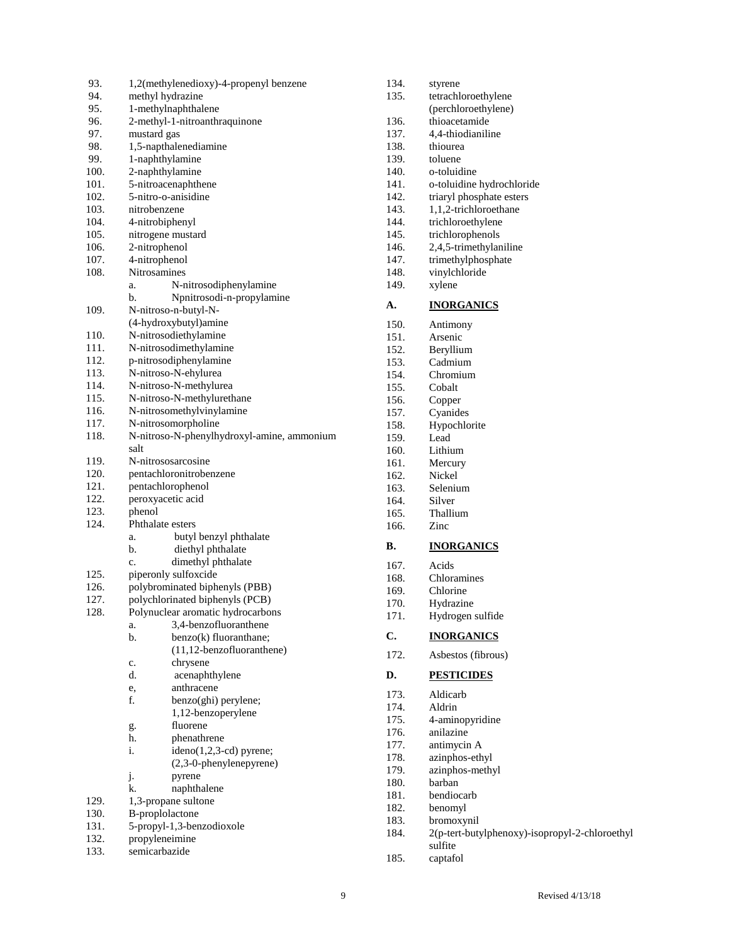| 93.          | 1,2(methylenedioxy)-4-propenyl benzene               |
|--------------|------------------------------------------------------|
| 94.          | methyl hydrazine                                     |
| 95.          | 1-methylnaphthalene                                  |
| 96.          | 2-methyl-1-nitroanthraquinone                        |
| 97.          | mustard gas                                          |
| 98.          | 1,5-napthalenediamine                                |
| 99.          | 1-naphthylamine                                      |
| 100.         | 2-naphthylamine                                      |
| 101.         | 5-nitroacenaphthene                                  |
| 102.         | 5-nitro-o-anisidine                                  |
| 103.         | nitrobenzene                                         |
| 104.         | 4-nitrobiphenyl                                      |
| 105.         | nitrogene mustard                                    |
| 106.         | 2-nitrophenol                                        |
| 107.         | 4-nitrophenol                                        |
| 108.         | Nitrosamines                                         |
|              | N-nitrosodiphenylamine<br>a.                         |
|              | Npnitrosodi-n-propylamine<br>b.                      |
| 109.         | N-nitroso-n-butyl-N-                                 |
|              | (4-hydroxybutyl)amine                                |
| 110.         | N-nitrosodiethylamine                                |
| 111.         | N-nitrosodimethylamine                               |
| 112.         | p-nitrosodiphenylamine                               |
| 113.         | N-nitroso-N-ehylurea                                 |
| 114.         |                                                      |
| 115.         | N-nitroso-N-methylurea<br>N-nitroso-N-methylurethane |
| 116.         | N-nitrosomethylvinylamine                            |
| 117.         | N-nitrosomorpholine                                  |
| 118.         | N-nitroso-N-phenylhydroxyl-amine, ammonium           |
|              | salt                                                 |
| 119.         | N-nitrososarcosine                                   |
| 120.         |                                                      |
| 121.         | pentachloronitrobenzene                              |
| 122.         | pentachlorophenol                                    |
| 123.         | peroxyacetic acid                                    |
|              | phenol                                               |
| 124.         | Phthalate esters                                     |
|              | butyl benzyl phthalate<br>a.<br>b.                   |
|              | diethyl phthalate<br>c.                              |
|              | dimethyl phthalate                                   |
| 125.         | piperonly sulfoxcide                                 |
| 126.         | polybrominated biphenyls (PBB)                       |
| 127.         | polychlorinated biphenyls (PCB)                      |
| 128.         | Polynuclear aromatic hydrocarbons                    |
|              | 3,4-benzofluoranthene<br>a.                          |
|              | b.<br>benzo(k) fluoranthane;                         |
|              | (11,12-benzofluoranthene)                            |
|              | chrysene<br>c.                                       |
|              | d.<br>acenaphthylene                                 |
|              | anthracene<br>e,                                     |
|              | f.<br>benzo(ghi) perylene;                           |
|              | 1,12-benzoperylene                                   |
|              | fluorene<br>g.                                       |
|              | h.<br>phenathrene                                    |
|              | i.<br>ideno(1,2,3-cd) pyrene;                        |
|              | (2,3-0-phenylenepyrene)                              |
|              | j.<br>pyrene                                         |
|              | k.<br>naphthalene                                    |
| 129.         | 1,3-propane sultone                                  |
| 130.         |                                                      |
|              | B-proplolactone                                      |
| 131.         | 5-propyl-1,3-benzodioxole                            |
| 132.<br>133. | propyleneimine<br>semicarbazide                      |

| 134. | styrene                                        |
|------|------------------------------------------------|
| 135. | tetrachloroethylene                            |
|      | (perchloroethylene)                            |
| 136. | thioacetamide                                  |
| 137. | 4,4-thiodianiline                              |
| 138. | thiourea                                       |
| 139. | toluene                                        |
| 140. | o-toluidine                                    |
| 141. | o-toluidine hydrochloride                      |
| 142. | triaryl phosphate esters                       |
| 143. | 1,1,2-trichloroethane                          |
| 144. | trichloroethylene                              |
| 145. | trichlorophenols                               |
| 146. | 2,4,5-trimethylaniline                         |
| 147. | trimethylphosphate                             |
| 148. | vinylchloride                                  |
| 149. | xylene                                         |
|      |                                                |
| А.   | <b>INORGANICS</b>                              |
| 150. | Antimony                                       |
| 151. | Arsenic                                        |
| 152. | Beryllium                                      |
| 153. | Cadmium                                        |
| 154. | Chromium                                       |
| 155. | Cobalt                                         |
| 156. | Copper                                         |
| 157. | Cyanides                                       |
| 158. | Hypochlorite                                   |
| 159. | Lead                                           |
| 160. | Lithium                                        |
| 161. | Mercury                                        |
| 162. | Nickel                                         |
|      |                                                |
| 163. | Selenium                                       |
| 164. | Silver                                         |
| 165. | Thallium                                       |
| 166. | Zinc                                           |
| В.   |                                                |
|      | <b>INORGANICS</b>                              |
| 167. | Acids                                          |
| 168. | Chloramines                                    |
| 169. | Chlorine                                       |
| 170. | Hydrazine                                      |
| 171. | Hydrogen sulfide                               |
| C.   | <b>INORGANICS</b>                              |
| 172. | Asbestos (fibrous)                             |
|      |                                                |
| D.   | <b>PESTICIDES</b>                              |
| 173. | Aldicarb                                       |
| 174. | Aldrin                                         |
| 175. | 4-aminopyridine                                |
| 176. | anilazine                                      |
| 177. | antimycin A                                    |
| 178. | azinphos-ethyl                                 |
| 179. | azinphos-methyl                                |
| 180. | barban                                         |
| 181. | bendiocarb                                     |
| 182. | benomyl                                        |
| 183. | bromoxynil                                     |
| 184. | 2(p-tert-butylphenoxy)-isopropyl-2-chloroethyl |
|      | sulfite                                        |
| 185. | captafol                                       |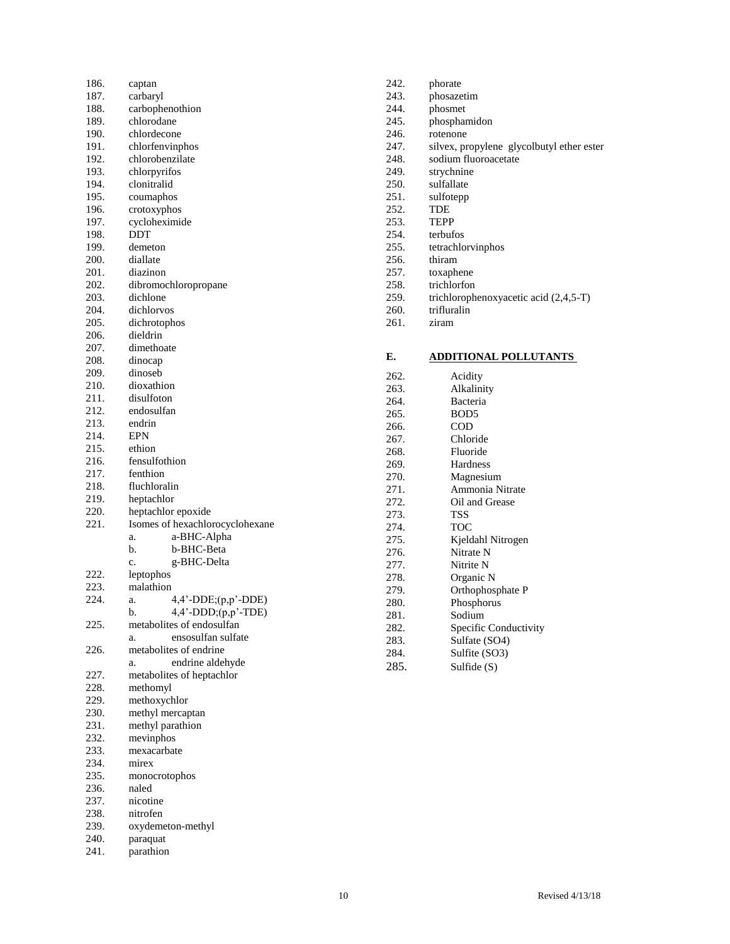| 186. | captan                          |
|------|---------------------------------|
| 187. | carbaryl                        |
| 188. | carbophenothion                 |
| 189. | chlorodane                      |
| 190. | chlordecone                     |
| 191. | chlorfenvinphos                 |
| 192. | chlorobenzilate                 |
|      |                                 |
| 193. | chlorpyrifos                    |
| 194. | clonitralid                     |
| 195. | coumaphos                       |
| 196. | crotoxyphos                     |
| 197. | cycloheximide                   |
| 198. | DDT                             |
| 199. | demeton                         |
| 200. | diallate                        |
| 201. | diazinon                        |
| 202. | dibromochloropropane            |
| 203. | dichlone                        |
| 204. | dichlorvos                      |
| 205. | dichrotophos                    |
| 206. | dieldrin                        |
| 207. | dimethoate                      |
| 208. | dinocap                         |
| 209. | dinoseb                         |
| 210. | dioxathion                      |
| 211. | disulfoton                      |
| 212. | endosulfan                      |
| 213. | endrin                          |
| 214. | <b>EPN</b>                      |
| 215. | ethion                          |
| 216. | fensulfothion                   |
|      | fenthion                        |
| 217. |                                 |
| 218. | fluchloralin                    |
| 219. | heptachlor                      |
| 220. | heptachlor epoxide              |
| 221. | Isomes of hexachlorocyclohexane |
|      | a-BHC-Alpha<br>a.               |
|      | b-BHC-Beta<br>b.                |
|      | g-BHC-Delta<br>c.               |
| 222. | leptophos                       |
| 223. | malathion                       |
| 224. | 4,4'-DDE;(p,p'-DDE)<br>a.       |
|      | 4,4'-DDD;(p,p'-TDE)<br>b        |
| 225. | metabolites of endosulfan       |
|      | ensosulfan sulfate<br>a.        |
| 226. | metabolites of endrine          |
|      | endrine aldehyde<br>a.          |
| 227. | metabolites of heptachlor       |
| 228. | methomyl                        |
| 229. | methoxychlor                    |
| 230. | methyl mercaptan                |
| 231. | methyl parathion                |
| 232. | mevinphos                       |
| 233. | mexacarbate                     |
| 234. | mirex                           |
| 235. |                                 |
|      | monocrotophos                   |
| 236. | naled                           |
| 237. | nicotine                        |
| 238. | nitrofen                        |
| 239. | oxydemeton-methyl               |
| 240. | paraquat                        |

241. parathion

242. phorate 243. phosazetim<br>244. phosmet 244. phosmet<br>245. phosphar 245. phosphamidon<br>246. rotenone 246. rotenone<br>247. silvex, pro 247. silvex, propylene glycolbutyl ether ester 248. sodium fluoroacetate 248. sodium fluoroacetate<br>249. strychnine 249. strychnine<br>250. sulfallate 250. sulfallate<br>251. sulfotepp 251. sulfotepp<br>252. TDE  $\ensuremath{\mathsf{TDE}}$ 253. TEPP 254. terbufos 255. tetrachlorvinphos<br>256. thiram 256. thiram<br>257. toxaphe 257. toxaphene<br>258. trichlorfon 258. trichlorfon<br>259. trichloroph 259. trichlorophenoxyacetic acid (2,4,5-T)<br>260. trifluralin 260. trifluralin<br>261. ziram ziram

### **E. ADDITIONAL POLLUTANTS**

| 262. | Acidity               |
|------|-----------------------|
| 263. | Alkalinity            |
| 264. | <b>Bacteria</b>       |
| 265. | BOD <sub>5</sub>      |
| 266. | <b>COD</b>            |
| 267. | Chloride              |
| 268. | Fluoride              |
| 269. | Hardness              |
| 270. | Magnesium             |
| 271. | Ammonia Nitrate       |
| 272. | Oil and Grease        |
| 273. | TSS                   |
| 274. | TOC                   |
| 275. | Kjeldahl Nitrogen     |
| 276. | Nitrate N             |
| 277. | Nitrite N             |
| 278. | Organic N             |
| 279. | Orthophosphate P      |
| 280. | Phosphorus            |
| 281. | Sodium                |
| 282. | Specific Conductivity |
| 283. | Sulfate (SO4)         |
| 284. | Sulfite (SO3)         |
| 285. | Sulfide (S)           |
|      |                       |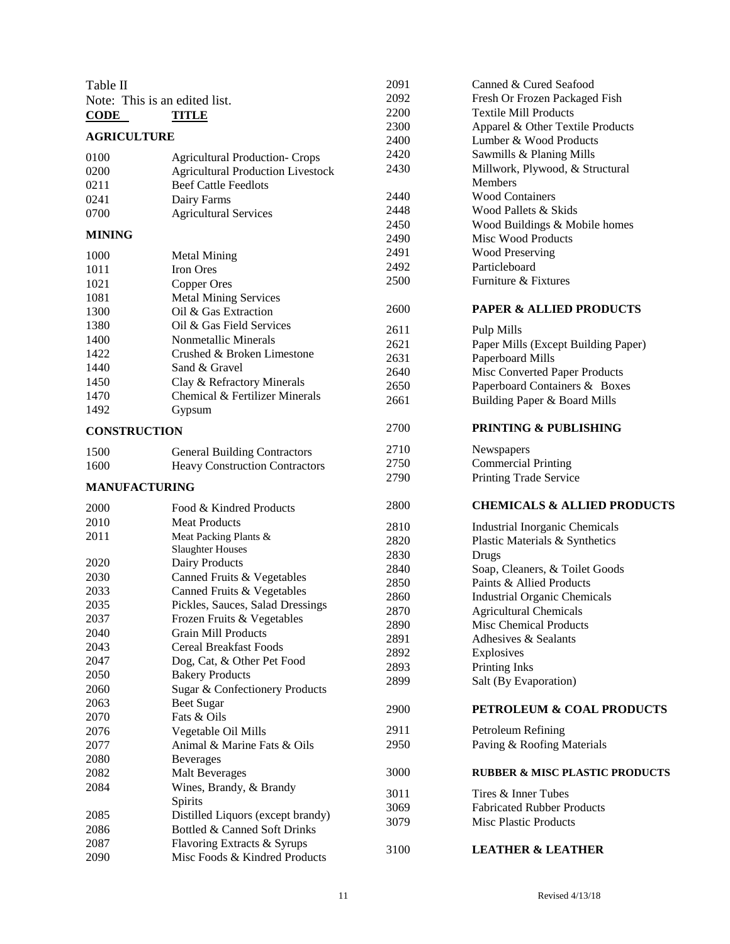| Table II                   |                                          | 2091 | Canned & Cured Seafood                    |
|----------------------------|------------------------------------------|------|-------------------------------------------|
|                            | Note: This is an edited list.            | 2092 | Fresh Or Frozen Packaged Fish             |
| $\overline{\mathrm{CODE}}$ | <b>TITLE</b>                             | 2200 | <b>Textile Mill Products</b>              |
|                            |                                          | 2300 | Apparel & Other Textile Products          |
| <b>AGRICULTURE</b>         |                                          | 2400 | Lumber & Wood Products                    |
| 0100                       | <b>Agricultural Production- Crops</b>    | 2420 | Sawmills & Planing Mills                  |
| 0200                       | <b>Agricultural Production Livestock</b> | 2430 | Millwork, Plywood, & Structural           |
| 0211                       | <b>Beef Cattle Feedlots</b>              |      | <b>Members</b>                            |
| 0241                       | Dairy Farms                              | 2440 | <b>Wood Containers</b>                    |
| 0700                       | <b>Agricultural Services</b>             | 2448 | Wood Pallets & Skids                      |
|                            |                                          | 2450 | Wood Buildings & Mobile homes             |
| <b>MINING</b>              |                                          | 2490 | <b>Misc Wood Products</b>                 |
| 1000                       | <b>Metal Mining</b>                      | 2491 | <b>Wood Preserving</b>                    |
| 1011                       | Iron Ores                                | 2492 | Particleboard                             |
| 1021                       | <b>Copper Ores</b>                       | 2500 | Furniture & Fixtures                      |
| 1081                       | <b>Metal Mining Services</b>             |      |                                           |
| 1300                       | Oil & Gas Extraction                     | 2600 | <b>PAPER &amp; ALLIED PRODUCTS</b>        |
| 1380                       | Oil & Gas Field Services                 | 2611 | Pulp Mills                                |
| 1400                       | Nonmetallic Minerals                     | 2621 | Paper Mills (Except Building Paper)       |
| 1422                       | Crushed & Broken Limestone               | 2631 | Paperboard Mills                          |
| 1440                       | Sand & Gravel                            | 2640 | Misc Converted Paper Products             |
| 1450                       | Clay & Refractory Minerals               | 2650 | Paperboard Containers & Boxes             |
| 1470                       | Chemical & Fertilizer Minerals           | 2661 | Building Paper & Board Mills              |
| 1492                       | Gypsum                                   |      |                                           |
| <b>CONSTRUCTION</b>        |                                          | 2700 | <b>PRINTING &amp; PUBLISHING</b>          |
| 1500                       | <b>General Building Contractors</b>      | 2710 | Newspapers                                |
| 1600                       | <b>Heavy Construction Contractors</b>    | 2750 | <b>Commercial Printing</b>                |
|                            |                                          | 2790 | Printing Trade Service                    |
| <b>MANUFACTURING</b>       |                                          |      |                                           |
| 2000                       | Food & Kindred Products                  | 2800 | <b>CHEMICALS &amp; ALLIED PRODUCTS</b>    |
| 2010                       | <b>Meat Products</b>                     | 2810 | <b>Industrial Inorganic Chemicals</b>     |
| 2011                       | Meat Packing Plants &                    | 2820 | Plastic Materials & Synthetics            |
|                            | <b>Slaughter Houses</b>                  | 2830 | Drugs                                     |
| 2020                       | Dairy Products                           | 2840 | Soap, Cleaners, & Toilet Goods            |
| 2030                       | Canned Fruits & Vegetables               | 2850 | Paints & Allied Products                  |
| 2033                       | Canned Fruits & Vegetables               | 2860 | <b>Industrial Organic Chemicals</b>       |
| 2035                       | Pickles, Sauces, Salad Dressings         | 2870 | <b>Agricultural Chemicals</b>             |
| 2037                       | Frozen Fruits & Vegetables               | 2890 | <b>Misc Chemical Products</b>             |
| 2040                       | <b>Grain Mill Products</b>               | 2891 | Adhesives & Sealants                      |
| 2043                       | <b>Cereal Breakfast Foods</b>            | 2892 | Explosives                                |
| 2047                       | Dog, Cat, & Other Pet Food               | 2893 | Printing Inks                             |
| 2050                       | <b>Bakery Products</b>                   | 2899 | Salt (By Evaporation)                     |
| 2060                       | Sugar & Confectionery Products           |      |                                           |
| 2063                       | <b>Beet Sugar</b>                        | 2900 | PETROLEUM & COAL PRODUCTS                 |
| 2070                       | Fats & Oils                              |      |                                           |
| 2076                       | Vegetable Oil Mills                      | 2911 | Petroleum Refining                        |
| 2077                       | Animal & Marine Fats & Oils              | 2950 | Paving & Roofing Materials                |
| 2080                       | <b>Beverages</b>                         |      |                                           |
| 2082                       | <b>Malt Beverages</b>                    | 3000 | <b>RUBBER &amp; MISC PLASTIC PRODUCTS</b> |
| 2084                       | Wines, Brandy, & Brandy                  | 3011 | Tires & Inner Tubes                       |
|                            | Spirits                                  | 3069 | <b>Fabricated Rubber Products</b>         |
| 2085                       | Distilled Liquors (except brandy)        | 3079 | <b>Misc Plastic Products</b>              |
| 2086                       | Bottled & Canned Soft Drinks             |      |                                           |
| 2087                       | Flavoring Extracts & Syrups              | 3100 | <b>LEATHER &amp; LEATHER</b>              |
| 2090                       | Misc Foods & Kindred Products            |      |                                           |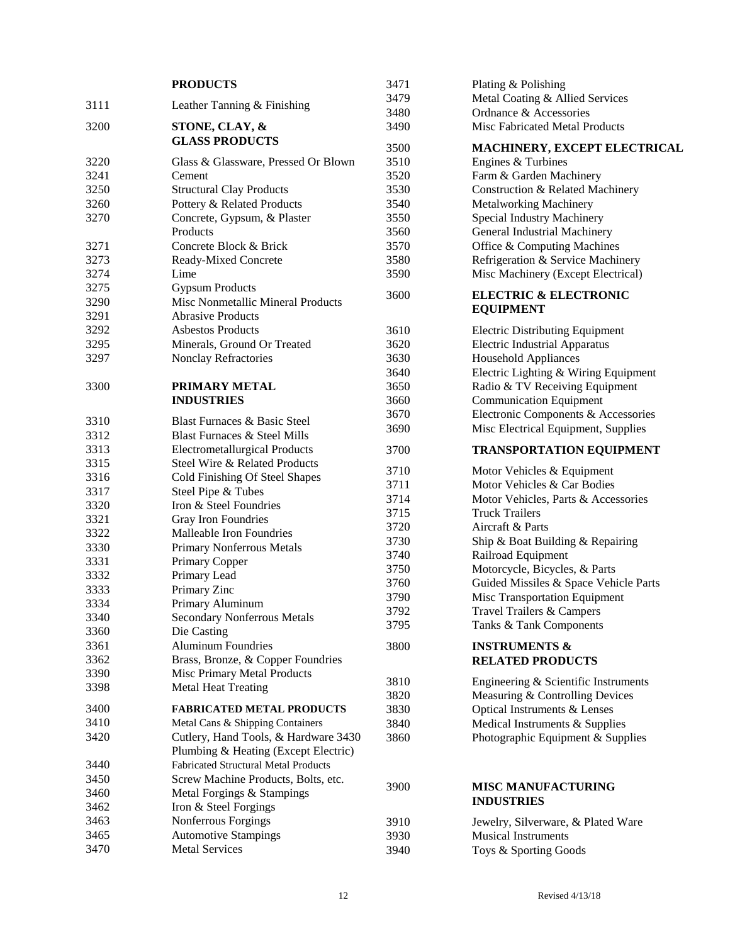|      | <b>PRODUCTS</b>                             | 3471 | Plating & Polishing                    |
|------|---------------------------------------------|------|----------------------------------------|
| 3111 |                                             | 3479 | Metal Coating & Allied Services        |
|      | Leather Tanning & Finishing                 | 3480 | Ordnance & Accessories                 |
| 3200 | STONE, CLAY, &                              | 3490 | Misc Fabricated Metal Products         |
|      | <b>GLASS PRODUCTS</b>                       | 3500 |                                        |
|      |                                             | 3510 | MACHINERY, EXCEPT ELECTRICAL           |
| 3220 | Glass & Glassware, Pressed Or Blown         |      | Engines & Turbines                     |
| 3241 | Cement                                      | 3520 | Farm & Garden Machinery                |
| 3250 | <b>Structural Clay Products</b>             | 3530 | Construction & Related Machinery       |
| 3260 | Pottery & Related Products                  | 3540 | <b>Metalworking Machinery</b>          |
| 3270 | Concrete, Gypsum, & Plaster                 | 3550 | Special Industry Machinery             |
|      | Products                                    | 3560 | General Industrial Machinery           |
| 3271 | Concrete Block & Brick                      | 3570 | Office & Computing Machines            |
| 3273 | Ready-Mixed Concrete                        | 3580 | Refrigeration & Service Machinery      |
| 3274 | Lime                                        | 3590 | Misc Machinery (Except Electrical)     |
| 3275 | <b>Gypsum Products</b>                      | 3600 | <b>ELECTRIC &amp; ELECTRONIC</b>       |
| 3290 | Misc Nonmetallic Mineral Products           |      | <b>EQUIPMENT</b>                       |
| 3291 | <b>Abrasive Products</b>                    |      |                                        |
| 3292 | <b>Asbestos Products</b>                    | 3610 | <b>Electric Distributing Equipment</b> |
| 3295 | Minerals, Ground Or Treated                 | 3620 | <b>Electric Industrial Apparatus</b>   |
| 3297 | Nonclay Refractories                        | 3630 | <b>Household Appliances</b>            |
|      |                                             | 3640 | Electric Lighting & Wiring Equipment   |
| 3300 | PRIMARY METAL                               | 3650 | Radio & TV Receiving Equipment         |
|      | <b>INDUSTRIES</b>                           | 3660 | <b>Communication Equipment</b>         |
|      |                                             | 3670 | Electronic Components & Accessories    |
| 3310 | Blast Furnaces & Basic Steel                | 3690 | Misc Electrical Equipment, Supplies    |
| 3312 | <b>Blast Furnaces &amp; Steel Mills</b>     |      |                                        |
| 3313 | <b>Electrometallurgical Products</b>        | 3700 | <b>TRANSPORTATION EQUIPMENT</b>        |
| 3315 | Steel Wire & Related Products               | 3710 | Motor Vehicles & Equipment             |
| 3316 | Cold Finishing Of Steel Shapes              | 3711 | Motor Vehicles & Car Bodies            |
| 3317 | Steel Pipe & Tubes                          | 3714 | Motor Vehicles, Parts & Accessories    |
| 3320 | Iron & Steel Foundries                      | 3715 | <b>Truck Trailers</b>                  |
| 3321 | Gray Iron Foundries                         | 3720 | Aircraft & Parts                       |
| 3322 | Malleable Iron Foundries                    | 3730 | Ship & Boat Building & Repairing       |
| 3330 | <b>Primary Nonferrous Metals</b>            | 3740 | Railroad Equipment                     |
| 3331 | Primary Copper                              | 3750 | Motorcycle, Bicycles, & Parts          |
| 3332 | Primary Lead                                | 3760 | Guided Missiles & Space Vehicle Parts  |
| 3333 | Primary Zinc                                | 3790 | Misc Transportation Equipment          |
| 3334 | Primary Aluminum                            | 3792 | Travel Trailers & Campers              |
| 3340 | Secondary Nonferrous Metals                 | 3795 | Tanks & Tank Components                |
| 3360 | Die Casting                                 |      |                                        |
| 3361 | <b>Aluminum Foundries</b>                   | 3800 | <b>INSTRUMENTS &amp;</b>               |
| 3362 | Brass, Bronze, & Copper Foundries           |      | <b>RELATED PRODUCTS</b>                |
| 3390 | Misc Primary Metal Products                 | 3810 | Engineering & Scientific Instruments   |
| 3398 | <b>Metal Heat Treating</b>                  | 3820 | Measuring & Controlling Devices        |
| 3400 | <b>FABRICATED METAL PRODUCTS</b>            | 3830 | Optical Instruments & Lenses           |
| 3410 | Metal Cans & Shipping Containers            | 3840 | Medical Instruments & Supplies         |
| 3420 | Cutlery, Hand Tools, & Hardware 3430        | 3860 | Photographic Equipment & Supplies      |
|      | Plumbing & Heating (Except Electric)        |      |                                        |
| 3440 | <b>Fabricated Structural Metal Products</b> |      |                                        |
| 3450 |                                             |      |                                        |
| 3460 | Screw Machine Products, Bolts, etc.         | 3900 | <b>MISC MANUFACTURING</b>              |
|      | Metal Forgings & Stampings                  |      | <b>INDUSTRIES</b>                      |
| 3462 | Iron & Steel Forgings                       |      |                                        |
| 3463 | Nonferrous Forgings                         | 3910 | Jewelry, Silverware, & Plated Ware     |
| 3465 | <b>Automotive Stampings</b>                 | 3930 | <b>Musical Instruments</b>             |
| 3470 | <b>Metal Services</b>                       | 3940 | Toys & Sporting Goods                  |